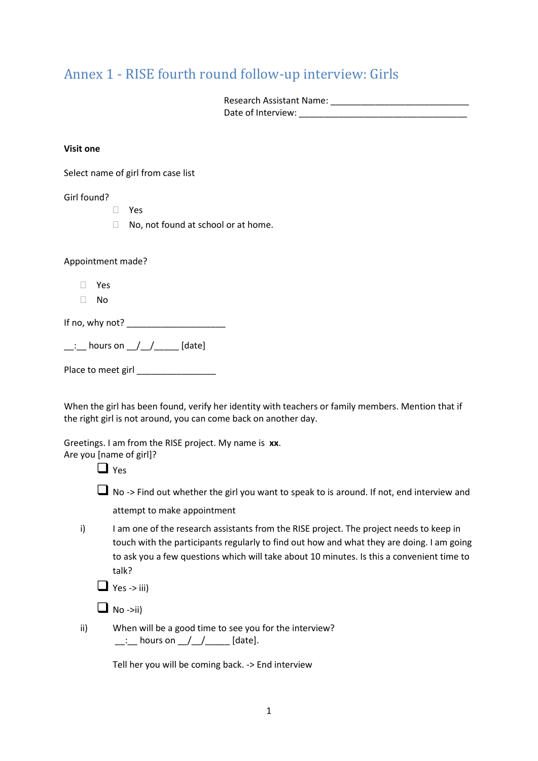# Annex 1 - RISE fourth round follow-up interview: Girls

| <b>Research Assistant Name:</b> |  |
|---------------------------------|--|
| Date of Interview:              |  |

#### **Visit one**

Select name of girl from case list

#### Girl found?

- Yes
- □ No, not found at school or at home.

Appointment made?

- Yes
- $\Box$  No

If no, why not?  $\frac{1}{2}$ 

| hours on |  | [date] |
|----------|--|--------|
|          |  |        |

Place to meet girl \_\_\_\_\_\_\_\_\_\_\_\_\_\_\_\_

When the girl has been found, verify her identity with teachers or family members. Mention that if the right girl is not around, you can come back on another day.

Greetings. I am from the RISE project. My name is **xx**.

Are you [name of girl]?

 $\Box$  Yes

■ No -> Find out whether the girl you want to speak to is around. If not, end interview and attempt to make appointment

i) I am one of the research assistants from the RISE project. The project needs to keep in touch with the participants regularly to find out how and what they are doing. I am going to ask you a few questions which will take about 10 minutes. Is this a convenient time to talk?

 $\Box$  Yes -> iii)

 $\Box$  No ->ii)

ii) When will be a good time to see you for the interview?  $\therefore$  hours on  $\angle$  /  $\angle$  [date].

Tell her you will be coming back. -> End interview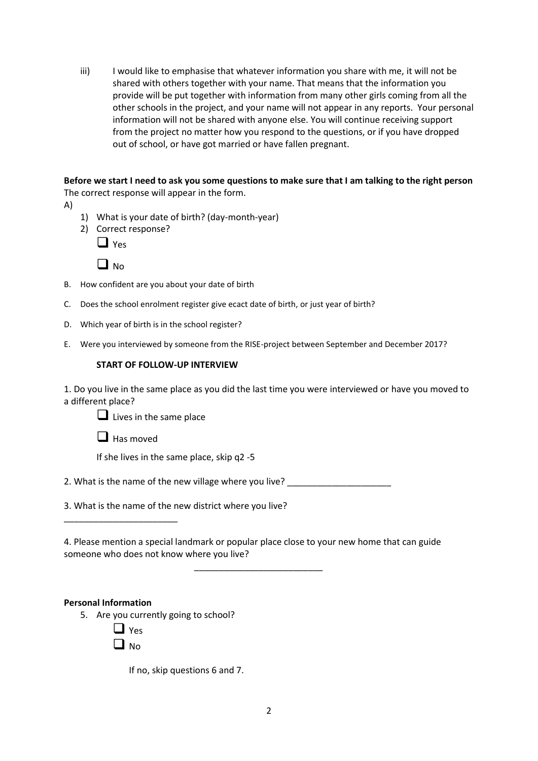iii) I would like to emphasise that whatever information you share with me, it will not be shared with others together with your name. That means that the information you provide will be put together with information from many other girls coming from all the other schools in the project, and your name will not appear in any reports. Your personal information will not be shared with anyone else. You will continue receiving support from the project no matter how you respond to the questions, or if you have dropped out of school, or have got married or have fallen pregnant.

**Before we start I need to ask you some questions to make sure that I am talking to the right person** The correct response will appear in the form.

- A)
- 1) What is your date of birth? (day-month-year)
- 2) Correct response?

| ۰. |
|----|
|----|



- B. How confident are you about your date of birth
- C. Does the school enrolment register give ecact date of birth, or just year of birth?
- D. Which year of birth is in the school register?
- E. Were you interviewed by someone from the RISE-project between September and December 2017?

#### **START OF FOLLOW-UP INTERVIEW**

1. Do you live in the same place as you did the last time you were interviewed or have you moved to a different place?

❑ Lives in the same place

■ Has moved

\_\_\_\_\_\_\_\_\_\_\_\_\_\_\_\_\_\_\_\_\_\_\_

If she lives in the same place, skip q2 -5

2. What is the name of the new village where you live?

3. What is the name of the new district where you live?

4. Please mention a special landmark or popular place close to your new home that can guide someone who does not know where you live?

\_\_\_\_\_\_\_\_\_\_\_\_\_\_\_\_\_\_\_\_\_\_\_\_\_\_

#### **Personal Information**

5. Are you currently going to school?

 $\Box$  Yes

 $\Box$  No.

If no, skip questions 6 and 7.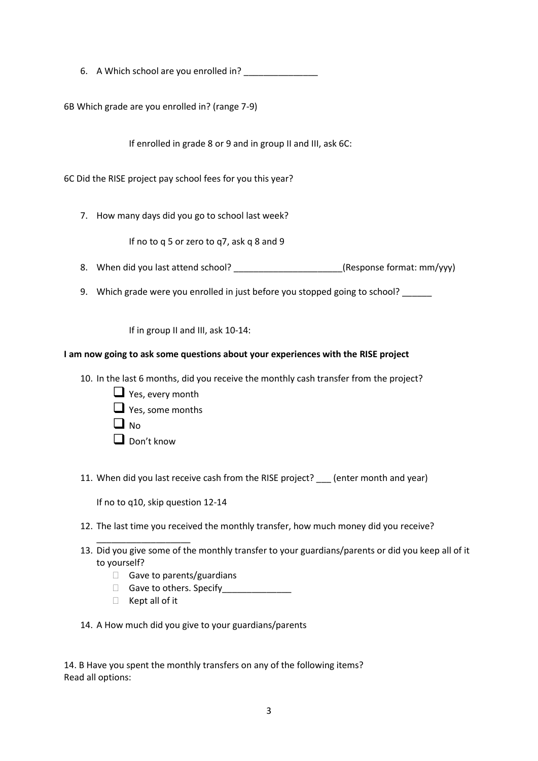6. A Which school are you enrolled in?

6B Which grade are you enrolled in? (range 7-9)

If enrolled in grade 8 or 9 and in group II and III, ask 6C:

6C Did the RISE project pay school fees for you this year?

7. How many days did you go to school last week?

If no to q 5 or zero to q7, ask q 8 and 9

- 8. When did you last attend school? \_\_\_\_\_\_\_\_\_\_\_\_\_\_\_\_\_\_\_\_\_\_(Response format: mm/yyy)
- 9. Which grade were you enrolled in just before you stopped going to school? \_\_\_\_\_\_

If in group II and III, ask 10-14:

## **I am now going to ask some questions about your experiences with the RISE project**

- 10. In the last 6 months, did you receive the monthly cash transfer from the project?
	- $\Box$  Yes, every month  $\Box$  Yes, some months  $\Box$  No.
	- ❑ Don't know
- 11. When did you last receive cash from the RISE project? \_\_\_ (enter month and year)

If no to q10, skip question 12-14

- 12. The last time you received the monthly transfer, how much money did you receive?
- 13. Did you give some of the monthly transfer to your guardians/parents or did you keep all of it to yourself?
	- $\Box$  Gave to parents/guardians
	- Gave to others. Specify
	- $\Box$  Kept all of it

\_\_\_\_\_\_\_\_\_\_\_\_\_\_\_\_\_\_\_

14. A How much did you give to your guardians/parents

14. B Have you spent the monthly transfers on any of the following items? Read all options: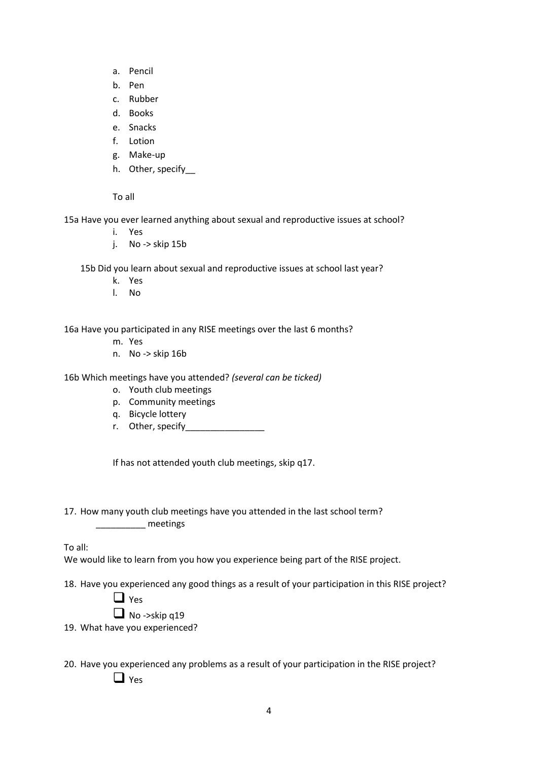- a. Pencil
- b. Pen
- c. Rubber
- d. Books
- e. Snacks
- f. Lotion
- g. Make-up
- h. Other, specify

To all

15a Have you ever learned anything about sexual and reproductive issues at school?

- i. Yes
- j. No -> skip 15b

15b Did you learn about sexual and reproductive issues at school last year?

- k. Yes
- l. No

16a Have you participated in any RISE meetings over the last 6 months?

- m. Yes
- n. No -> skip 16b

16b Which meetings have you attended? *(several can be ticked)*

- o. Youth club meetings
- p. Community meetings
- q. Bicycle lottery
- r. Other, specify\_\_\_\_\_\_\_\_\_\_\_\_\_\_\_\_

If has not attended youth club meetings, skip q17.

17. How many youth club meetings have you attended in the last school term? \_\_\_\_\_\_\_\_\_\_ meetings

To all:

We would like to learn from you how you experience being part of the RISE project.

18. Have you experienced any good things as a result of your participation in this RISE project?

❑ Yes

 $\Box$  No ->skip q19

19. What have you experienced?

20. Have you experienced any problems as a result of your participation in the RISE project? ❑ Yes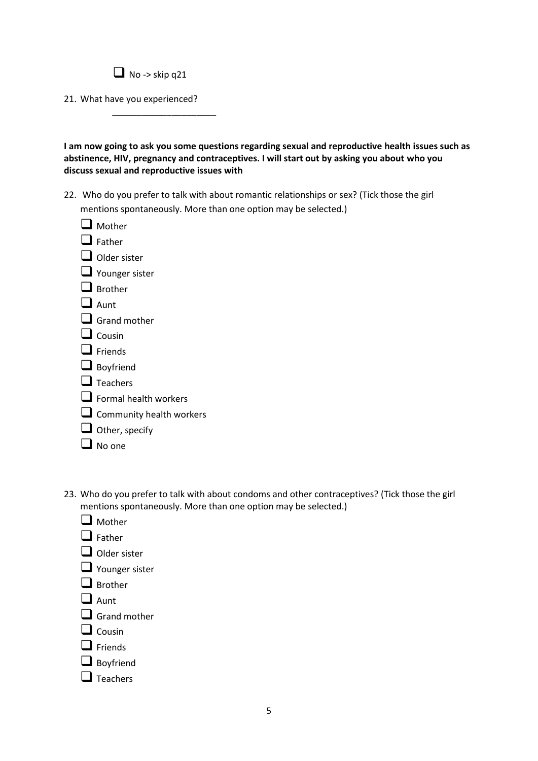\_\_\_\_\_\_\_\_\_\_\_\_\_\_\_\_\_\_\_\_\_

21. What have you experienced?

**I am now going to ask you some questions regarding sexual and reproductive health issues such as abstinence, HIV, pregnancy and contraceptives. I will start out by asking you about who you discuss sexual and reproductive issues with**

- 22. Who do you prefer to talk with about romantic relationships or sex? (Tick those the girl mentions spontaneously. More than one option may be selected.)
	- ❑ Mother ❑ Father ❑ Older sister ■ Younger sister ❑ Brother ❑ Aunt □ Grand mother ❑ Cousin ❑ Friends ❑ Boyfriend ❑ Teachers  $\Box$  Formal health workers □ Community health workers ❑ Other, specify ❑ No one
- 23. Who do you prefer to talk with about condoms and other contraceptives? (Tick those the girl mentions spontaneously. More than one option may be selected.)
	- ❑ Mother ❑ Father ❑ Older sister ❑ Younger sister ❑ Brother ❑ Aunt □ Grand mother ❑ Cousin ❑ Friends ❑ Boyfriend ❑ Teachers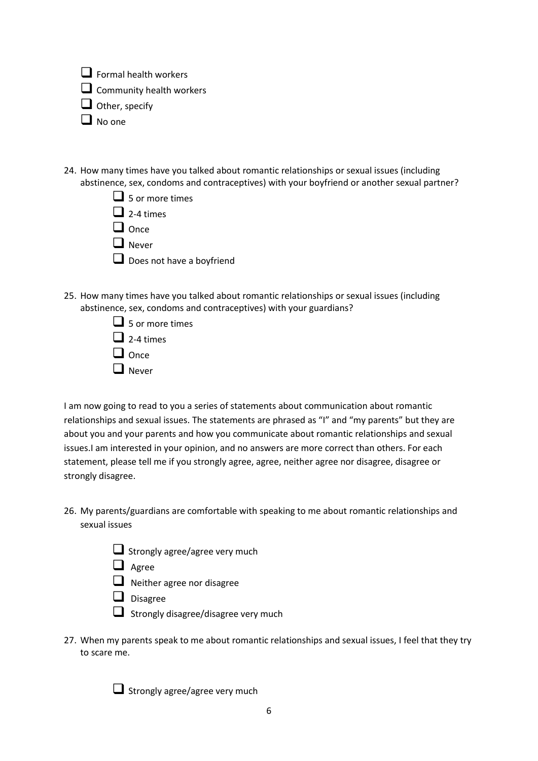$\Box$  Formal health workers

□ Community health workers

❑ Other, specify

❑ No one

- 24. How many times have you talked about romantic relationships or sexual issues (including abstinence, sex, condoms and contraceptives) with your boyfriend or another sexual partner?
	- $\Box$  5 or more times  $\Box$  2-4 times
	- ❑ Once
	- ❑ Never
	- Does not have a boyfriend
- 25. How many times have you talked about romantic relationships or sexual issues (including abstinence, sex, condoms and contraceptives) with your guardians?
	- $\Box$  5 or more times
	- $\Box$  2-4 times
	- ❑ Once
	- ❑ Never

I am now going to read to you a series of statements about communication about romantic relationships and sexual issues. The statements are phrased as "I" and "my parents" but they are about you and your parents and how you communicate about romantic relationships and sexual issues.I am interested in your opinion, and no answers are more correct than others. For each statement, please tell me if you strongly agree, agree, neither agree nor disagree, disagree or strongly disagree.

- 26. My parents/guardians are comfortable with speaking to me about romantic relationships and sexual issues
	- ❑ Strongly agree/agree very much
	- ❑ Agree
	- $\Box$  Neither agree nor disagree
	- ❑ Disagree
	- ❑ Strongly disagree/disagree very much
- 27. When my parents speak to me about romantic relationships and sexual issues, I feel that they try to scare me.

■ Strongly agree/agree very much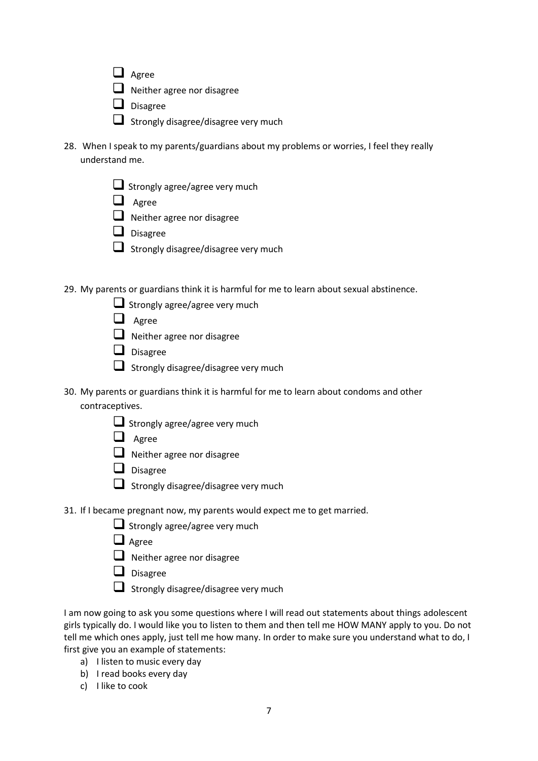- ❑ Agree
- ❑ Neither agree nor disagree
- ❑ Disagree
- Strongly disagree/disagree very much
- 28. When I speak to my parents/guardians about my problems or worries, I feel they really understand me.
	- $\Box$  Strongly agree/agree very much
	- ❑ Agree
	- ❑ Neither agree nor disagree
	- ❑ Disagree
	- ❑ Strongly disagree/disagree very much

29. My parents or guardians think it is harmful for me to learn about sexual abstinence.

- Strongly agree/agree very much
- ❑ Agree
- ❑ Neither agree nor disagree
- ❑ Disagree
- ❑ Strongly disagree/disagree very much
- 30. My parents or guardians think it is harmful for me to learn about condoms and other contraceptives.
	- $\Box$  Strongly agree/agree very much
	- ❑ Agree
	- ❑ Neither agree nor disagree
	- ❑ Disagree
	- ❑ Strongly disagree/disagree very much
- 31. If I became pregnant now, my parents would expect me to get married.
	- Strongly agree/agree very much
	- ❑ Agree
	- ❑ Neither agree nor disagree
	- ❑ Disagree
	- ❑ Strongly disagree/disagree very much

I am now going to ask you some questions where I will read out statements about things adolescent girls typically do. I would like you to listen to them and then tell me HOW MANY apply to you. Do not tell me which ones apply, just tell me how many. In order to make sure you understand what to do, I first give you an example of statements:

- a) I listen to music every day
- b) I read books every day
- c) I like to cook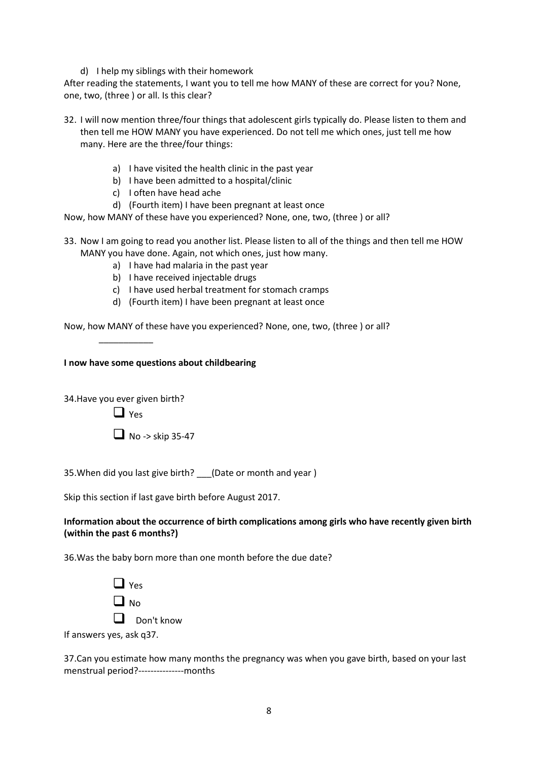d) I help my siblings with their homework

After reading the statements, I want you to tell me how MANY of these are correct for you? None, one, two, (three ) or all. Is this clear?

- 32. I will now mention three/four things that adolescent girls typically do. Please listen to them and then tell me HOW MANY you have experienced. Do not tell me which ones, just tell me how many. Here are the three/four things:
	- a) I have visited the health clinic in the past year
	- b) I have been admitted to a hospital/clinic
	- c) I often have head ache
	- d) (Fourth item) I have been pregnant at least once

Now, how MANY of these have you experienced? None, one, two, (three ) or all?

- 33. Now I am going to read you another list. Please listen to all of the things and then tell me HOW MANY you have done. Again, not which ones, just how many.
	- a) I have had malaria in the past year
	- b) I have received injectable drugs
	- c) I have used herbal treatment for stomach cramps
	- d) (Fourth item) I have been pregnant at least once

Now, how MANY of these have you experienced? None, one, two, (three ) or all?

**I now have some questions about childbearing**

34.Have you ever given birth?

\_\_\_\_\_\_\_\_\_\_\_

 $\Box$  Yes

 $\Box$  No -> skip 35-47

35.When did you last give birth? \_\_\_(Date or month and year )

Skip this section if last gave birth before August 2017.

## **Information about the occurrence of birth complications among girls who have recently given birth (within the past 6 months?)**

36.Was the baby born more than one month before the due date?

 $\Box$  Yes  $\Box$  No. ❑ Don't know If answers yes, ask q37.

37.Can you estimate how many months the pregnancy was when you gave birth, based on your last menstrual period?---------------months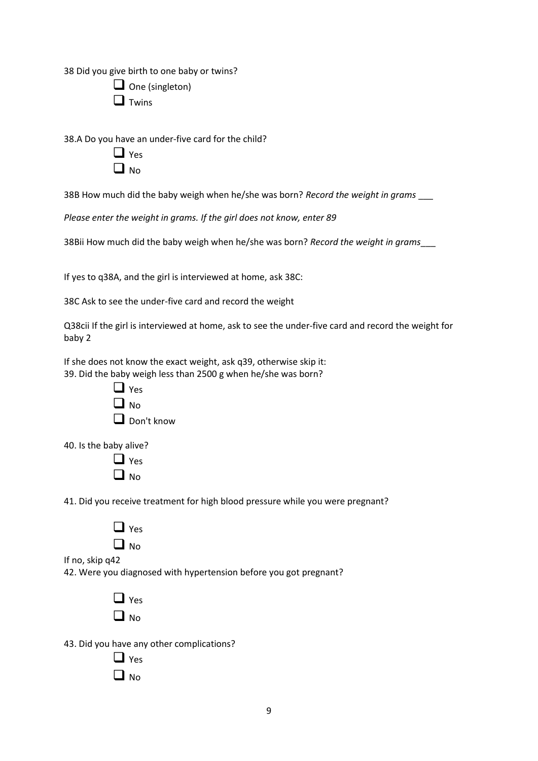38 Did you give birth to one baby or twins?

| $\Box$ One (singleton) |  |
|------------------------|--|
|------------------------|--|

❑ Twins

38.A Do you have an under-five card for the child?

| 1            | es |
|--------------|----|
| $\mathbf{I}$ | O  |
| L            | N  |

38B How much did the baby weigh when he/she was born? *Record the weight in grams* \_\_\_

*Please enter the weight in grams. If the girl does not know, enter 89*

38Bii How much did the baby weigh when he/she was born? *Record the weight in grams*\_\_\_

If yes to q38A, and the girl is interviewed at home, ask 38C:

38C Ask to see the under-five card and record the weight

Q38cii If the girl is interviewed at home, ask to see the under-five card and record the weight for baby 2

If she does not know the exact weight, ask q39, otherwise skip it: 39. Did the baby weigh less than 2500 g when he/she was born?



40. Is the baby alive?

| I | es |
|---|----|
| L | N٥ |

41. Did you receive treatment for high blood pressure while you were pregnant?

| L<br>r. | Yes |
|---------|-----|
| L       | Ō   |
|         | N   |

If no, skip q42

42. Were you diagnosed with hypertension before you got pregnant?

 $\Box$  Yes  $\Box$  No.

43. Did you have any other complications?

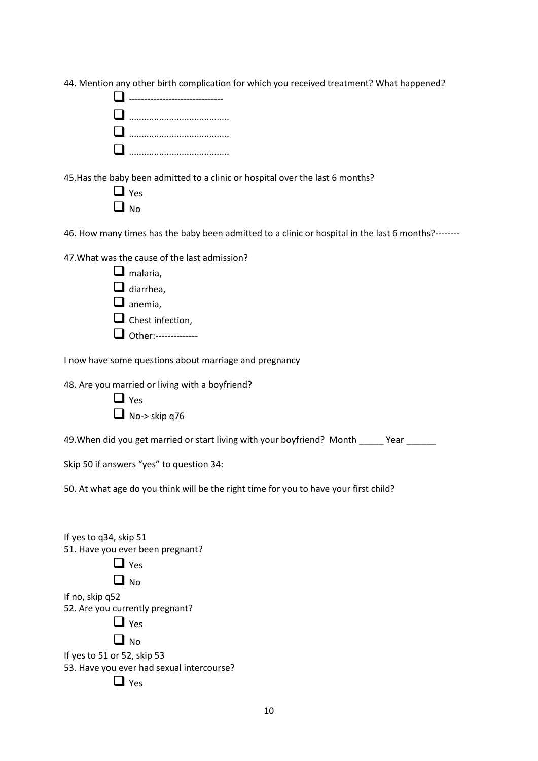|  |  |  |  |  |  |  | 44. Mention any other birth complication for which you received treatment? What happened? |
|--|--|--|--|--|--|--|-------------------------------------------------------------------------------------------|
|--|--|--|--|--|--|--|-------------------------------------------------------------------------------------------|

45.Has the baby been admitted to a clinic or hospital over the last 6 months?

| ł. | s<br>r |
|----|--------|
| I  | O      |
| L  | J.     |

46. How many times has the baby been admitted to a clinic or hospital in the last 6 months?--------

| 47. What was the cause of the last admission? |
|-----------------------------------------------|
|                                               |

| $\Box$ malaria,         |
|-------------------------|
| diarrhea,               |
| $\Box$ anemia,          |
| $\Box$ Chest infection, |
| □ Other:----------      |

I now have some questions about marriage and pregnancy

48. Are you married or living with a boyfriend?

| $\Box$ Yes           |  |
|----------------------|--|
| $\Box$ No-> skip q76 |  |

49. When did you get married or start living with your boyfriend? Month \_\_\_\_\_\_ Year \_\_\_\_\_\_

Skip 50 if answers "yes" to question 34:

50. At what age do you think will be the right time for you to have your first child?

| If yes to q34, skip 51                    |
|-------------------------------------------|
| 51. Have you ever been pregnant?          |
| $\Box$ Yes                                |
| $\Box$ No                                 |
| If no, skip q52                           |
| 52. Are you currently pregnant?           |
| $\Box$ Yes                                |
| $\Box$ No                                 |
| If yes to 51 or 52, skip 53               |
| 53. Have you ever had sexual intercourse? |
| <b>Yes</b>                                |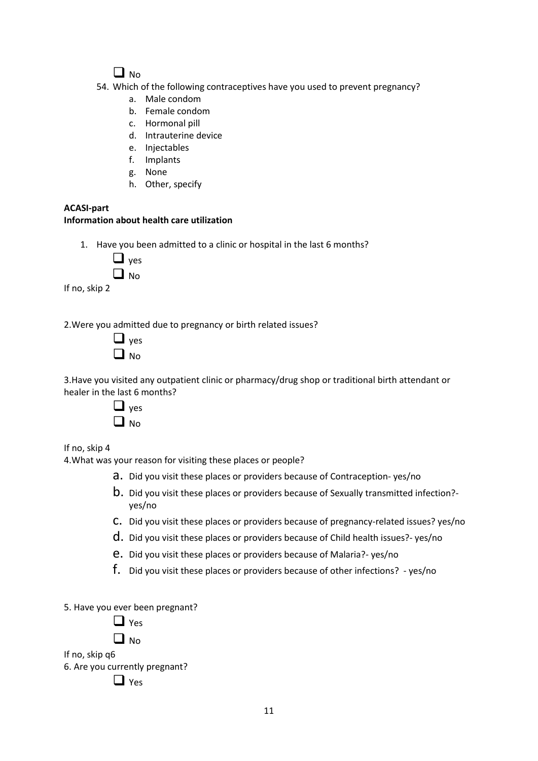# $\Box$  No.

- 54. Which of the following contraceptives have you used to prevent pregnancy?
	- a. Male condom
	- b. Female condom
	- c. Hormonal pill
	- d. Intrauterine device
	- e. Injectables
	- f. Implants
	- g. None
	- h. Other, specify

# **ACASI-part**

# **Information about health care utilization**

1. Have you been admitted to a clinic or hospital in the last 6 months?

| es       |
|----------|
| O<br>۸I. |

If no, skip 2

2.Were you admitted due to pregnancy or birth related issues?

| I | es<br>V |
|---|---------|
| ۱ | N٥      |

3.Have you visited any outpatient clinic or pharmacy/drug shop or traditional birth attendant or healer in the last 6 months?

| ٧<br>٢S |
|---------|
| N٥      |

If no, skip 4

4.What was your reason for visiting these places or people?

- a. Did you visit these places or providers because of Contraception- yes/no
- b. Did you visit these places or providers because of Sexually transmitted infection? yes/no
- c. Did you visit these places or providers because of pregnancy-related issues? yes/no
- d. Did you visit these places or providers because of Child health issues?- yes/no
- e. Did you visit these places or providers because of Malaria?- yes/no
- f. Did you visit these places or providers because of other infections? yes/no

5. Have you ever been pregnant?

 $\Box$  No.

If no, skip q6

6. Are you currently pregnant?

❑ Yes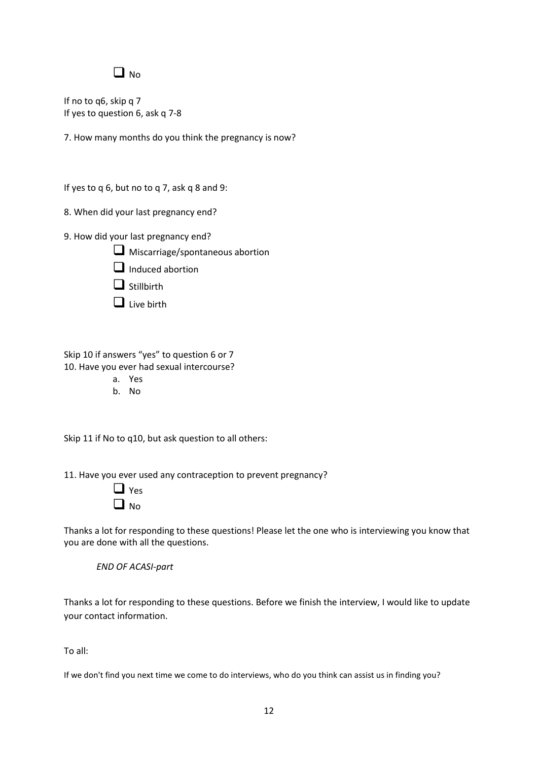# $\Box$  No.

If no to q6, skip q 7 If yes to question 6, ask q 7-8

7. How many months do you think the pregnancy is now?

If yes to q 6, but no to q 7, ask q 8 and 9:

8. When did your last pregnancy end?

9. How did your last pregnancy end?

□ Miscarriage/spontaneous abortion



❑ Stillbirth

❑ Live birth

Skip 10 if answers "yes" to question 6 or 7 10. Have you ever had sexual intercourse?

- a. Yes
- b. No

Skip 11 if No to q10, but ask question to all others:

11. Have you ever used any contraception to prevent pregnancy?

|   | S<br>− |
|---|--------|
| I | ٩Ō     |

Thanks a lot for responding to these questions! Please let the one who is interviewing you know that you are done with all the questions.

*END OF ACASI-part*

Thanks a lot for responding to these questions. Before we finish the interview, I would like to update your contact information.

To all:

If we don't find you next time we come to do interviews, who do you think can assist us in finding you?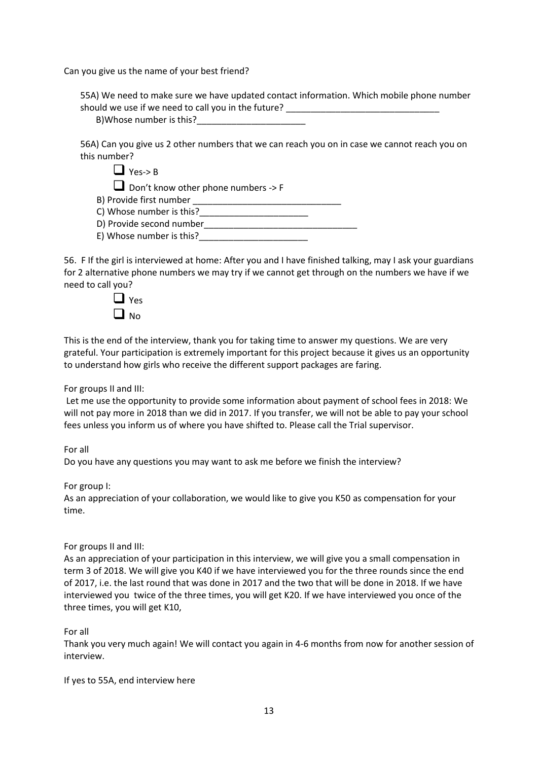Can you give us the name of your best friend?

55A) We need to make sure we have updated contact information. Which mobile phone number should we use if we need to call you in the future? B)Whose number is this?

56A) Can you give us 2 other numbers that we can reach you on in case we cannot reach you on this number?

| $\Box$ Yes-> B                                 |  |
|------------------------------------------------|--|
| Don't know other phone numbers $\rightarrow$ F |  |
| B) Provide first number                        |  |
| C) Whose number is this?                       |  |
| D) Provide second number                       |  |

E) Whose number is this?

56. F If the girl is interviewed at home: After you and I have finished talking, may I ask your guardians for 2 alternative phone numbers we may try if we cannot get through on the numbers we have if we need to call you?



This is the end of the interview, thank you for taking time to answer my questions. We are very grateful. Your participation is extremely important for this project because it gives us an opportunity to understand how girls who receive the different support packages are faring.

For groups II and III:

Let me use the opportunity to provide some information about payment of school fees in 2018: We will not pay more in 2018 than we did in 2017. If you transfer, we will not be able to pay your school fees unless you inform us of where you have shifted to. Please call the Trial supervisor.

For all

Do you have any questions you may want to ask me before we finish the interview?

For group I:

As an appreciation of your collaboration, we would like to give you K50 as compensation for your time.

### For groups II and III:

As an appreciation of your participation in this interview, we will give you a small compensation in term 3 of 2018. We will give you K40 if we have interviewed you for the three rounds since the end of 2017, i.e. the last round that was done in 2017 and the two that will be done in 2018. If we have interviewed you twice of the three times, you will get K20. If we have interviewed you once of the three times, you will get K10,

For all

Thank you very much again! We will contact you again in 4-6 months from now for another session of interview.

If yes to 55A, end interview here